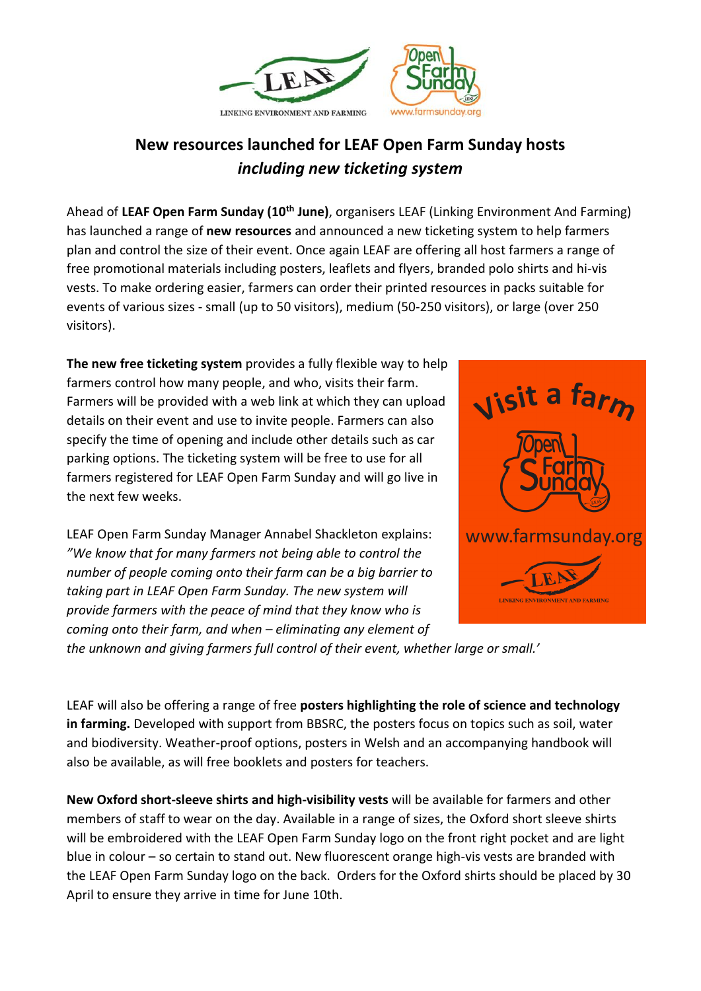

## **New resources launched for LEAF Open Farm Sunday hosts** *including new ticketing system*

Ahead of **LEAF Open Farm Sunday (10th June)**, organisers LEAF (Linking Environment And Farming) has launched a range of **new resources** and announced a new ticketing system to help farmers plan and control the size of their event. Once again LEAF are offering all host farmers a range of free promotional materials including posters, leaflets and flyers, branded polo shirts and hi-vis vests. To make ordering easier, farmers can order their printed resources in packs suitable for events of various sizes - small (up to 50 visitors), medium (50-250 visitors), or large (over 250 visitors).

**The new free ticketing system** provides a fully flexible way to help farmers control how many people, and who, visits their farm. Farmers will be provided with a web link at which they can upload details on their event and use to invite people. Farmers can also specify the time of opening and include other details such as car parking options. The ticketing system will be free to use for all farmers registered for LEAF Open Farm Sunday and will go live in the next few weeks.

LEAF Open Farm Sunday Manager Annabel Shackleton explains: *"We know that for many farmers not being able to control the number of people coming onto their farm can be a big barrier to taking part in LEAF Open Farm Sunday. The new system will provide farmers with the peace of mind that they know who is coming onto their farm, and when – eliminating any element of* 



*the unknown and giving farmers full control of their event, whether large or small.'* 

LEAF will also be offering a range of free **posters highlighting the role of science and technology in farming.** Developed with support from BBSRC, the posters focus on topics such as soil, water and biodiversity. Weather-proof options, posters in Welsh and an accompanying handbook will also be available, as will free booklets and posters for teachers.

**New Oxford short-sleeve shirts and high-visibility vests** will be available for farmers and other members of staff to wear on the day. Available in a range of sizes, the Oxford short sleeve shirts will be embroidered with the LEAF Open Farm Sunday logo on the front right pocket and are light blue in colour – so certain to stand out. New fluorescent orange high-vis vests are branded with the LEAF Open Farm Sunday logo on the back. Orders for the Oxford shirts should be placed by 30 April to ensure they arrive in time for June 10th.